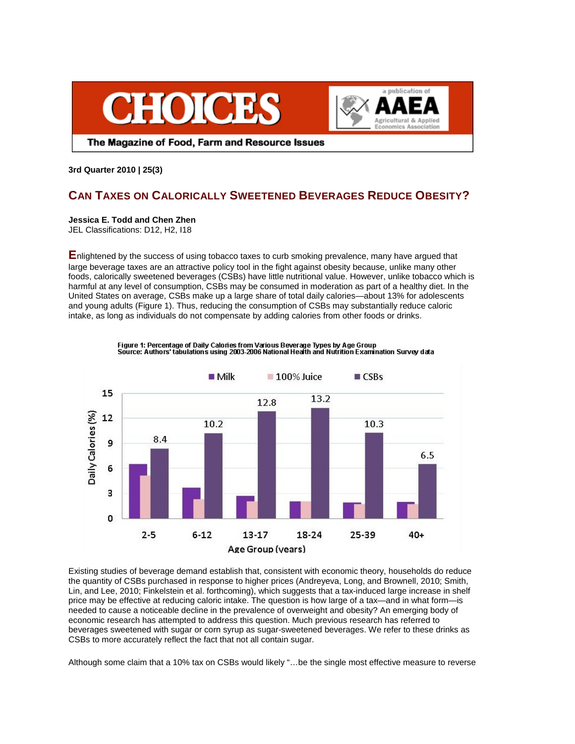



The Magazine of Food, Farm and Resource Issues

**3rd Quarter 2010 | 25(3)** 

# **CAN TAXES ON CALORICALLY SWEETENED BEVERAGES REDUCE OBESITY?**

**Jessica E. Todd and Chen Zhen**

JEL Classifications: D12, H2, I18

**E**nlightened by the success of using tobacco taxes to curb smoking prevalence, many have argued that large beverage taxes are an attractive policy tool in the fight against obesity because, unlike many other foods, calorically sweetened beverages (CSBs) have little nutritional value. However, unlike tobacco which is harmful at any level of consumption, CSBs may be consumed in moderation as part of a healthy diet. In the United States on average, CSBs make up a large share of total daily calories—about 13% for adolescents and young adults (Figure 1). Thus, reducing the consumption of CSBs may substantially reduce caloric intake, as long as individuals do not compensate by adding calories from other foods or drinks.



Figure 1: Percentage of Daily Calories from Various Beverage Types by Age Group<br>Source: Authors' tabulations using 2003-2006 National Heath and Nutrition Examination Survey data

Existing studies of beverage demand establish that, consistent with economic theory, households do reduce the quantity of CSBs purchased in response to higher prices (Andreyeva, Long, and Brownell, 2010; Smith, Lin, and Lee, 2010; Finkelstein et al. forthcoming), which suggests that a tax-induced large increase in shelf price may be effective at reducing caloric intake. The question is how large of a tax—and in what form—is needed to cause a noticeable decline in the prevalence of overweight and obesity? An emerging body of economic research has attempted to address this question. Much previous research has referred to beverages sweetened with sugar or corn syrup as sugar-sweetened beverages. We refer to these drinks as CSBs to more accurately reflect the fact that not all contain sugar.

Although some claim that a 10% tax on CSBs would likely "…be the single most effective measure to reverse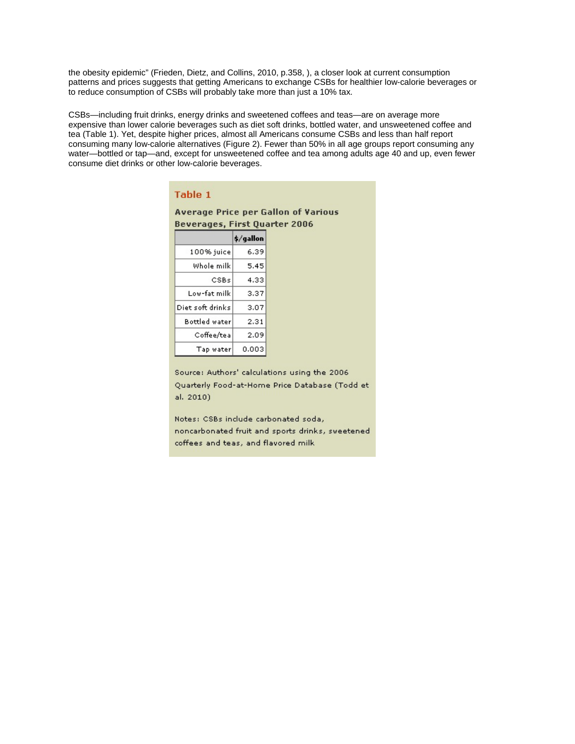the obesity epidemic" (Frieden, Dietz, and Collins, 2010, p.358, ), a closer look at current consumption patterns and prices suggests that getting Americans to exchange CSBs for healthier low-calorie beverages or to reduce consumption of CSBs will probably take more than just a 10% tax.

CSBs—including fruit drinks, energy drinks and sweetened coffees and teas—are on average more expensive than lower calorie beverages such as diet soft drinks, bottled water, and unsweetened coffee and tea (Table 1). Yet, despite higher prices, almost all Americans consume CSBs and less than half report consuming many low-calorie alternatives (Figure 2). Fewer than 50% in all age groups report consuming any water—bottled or tap—and, except for unsweetened coffee and tea among adults age 40 and up, even fewer consume diet drinks or other low-calorie beverages.

| Table 1                                    |           |  |
|--------------------------------------------|-----------|--|
| <b>Average Price per Gallon of Various</b> |           |  |
| <b>Beverages, First Quarter 2006</b>       |           |  |
|                                            | \$/gallon |  |
| 100% juice                                 | 6.39      |  |
| Whole milk                                 | 5.45      |  |
| CSBs                                       | 4.33      |  |
| Low-fat milk                               | 3.37      |  |
| Diet soft drinks.                          | 3.07      |  |
| <b>Bottled water</b>                       | 2.31      |  |
| Coffee/tea                                 | 2.09      |  |
| Tap water                                  | 0.003     |  |

Source: Authors' calculations using the 2006 Quarterly Food-at-Home Price Database (Todd et al. 2010)

Notes: CSBs include carbonated soda, noncarbonated fruit and sports drinks, sweetened coffees and teas, and flavored milk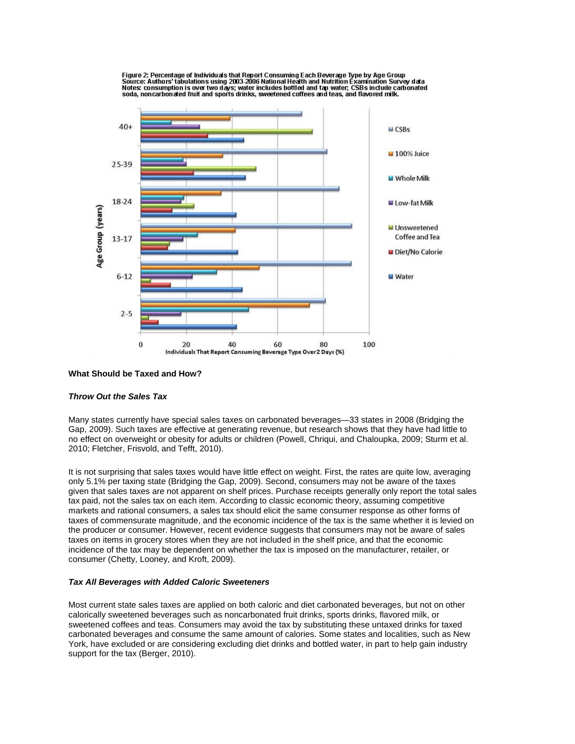

Figure 2: Percentage of Individuals that Report Consuming Each Beverage Type by Age Group<br>Source: Authors' tabulations using 2003-2006 National Health and Nutrition Examination Survey data<br>Notes: consumption is over two da soda, noncarbonated fruit and sports drinks, sweetened coffees and teas, and flavored milk.

#### **What Should be Taxed and How?**

# *Throw Out the Sales Tax*

Many states currently have special sales taxes on carbonated beverages—33 states in 2008 (Bridging the Gap, 2009). Such taxes are effective at generating revenue, but research shows that they have had little to no effect on overweight or obesity for adults or children (Powell, Chriqui, and Chaloupka, 2009; Sturm et al. 2010; Fletcher, Frisvold, and Tefft, 2010).

It is not surprising that sales taxes would have little effect on weight. First, the rates are quite low, averaging only 5.1% per taxing state (Bridging the Gap, 2009). Second, consumers may not be aware of the taxes given that sales taxes are not apparent on shelf prices. Purchase receipts generally only report the total sales tax paid, not the sales tax on each item. According to classic economic theory, assuming competitive markets and rational consumers, a sales tax should elicit the same consumer response as other forms of taxes of commensurate magnitude, and the economic incidence of the tax is the same whether it is levied on the producer or consumer. However, recent evidence suggests that consumers may not be aware of sales taxes on items in grocery stores when they are not included in the shelf price, and that the economic incidence of the tax may be dependent on whether the tax is imposed on the manufacturer, retailer, or consumer (Chetty, Looney, and Kroft, 2009).

#### *Tax All Beverages with Added Caloric Sweeteners*

Most current state sales taxes are applied on both caloric and diet carbonated beverages, but not on other calorically sweetened beverages such as noncarbonated fruit drinks, sports drinks, flavored milk, or sweetened coffees and teas. Consumers may avoid the tax by substituting these untaxed drinks for taxed carbonated beverages and consume the same amount of calories. Some states and localities, such as New York, have excluded or are considering excluding diet drinks and bottled water, in part to help gain industry support for the tax (Berger, 2010).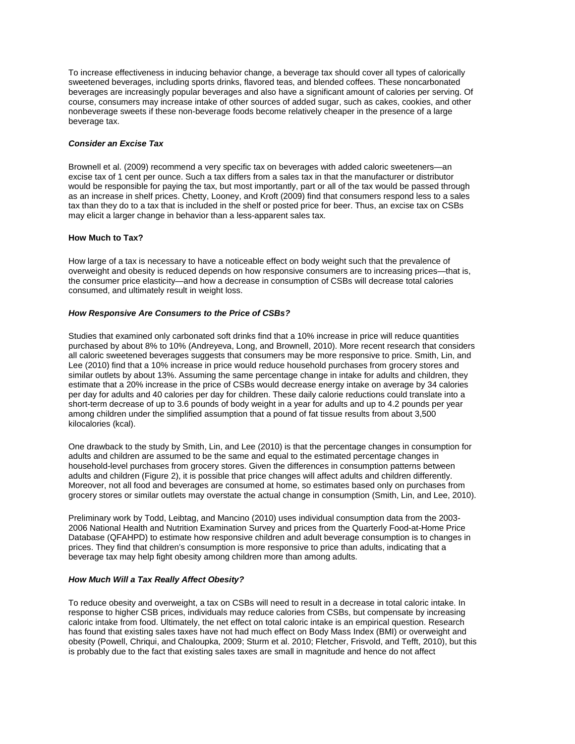To increase effectiveness in inducing behavior change, a beverage tax should cover all types of calorically sweetened beverages, including sports drinks, flavored teas, and blended coffees. These noncarbonated beverages are increasingly popular beverages and also have a significant amount of calories per serving. Of course, consumers may increase intake of other sources of added sugar, such as cakes, cookies, and other nonbeverage sweets if these non-beverage foods become relatively cheaper in the presence of a large beverage tax.

## *Consider an Excise Tax*

Brownell et al. (2009) recommend a very specific tax on beverages with added caloric sweeteners—an excise tax of 1 cent per ounce. Such a tax differs from a sales tax in that the manufacturer or distributor would be responsible for paying the tax, but most importantly, part or all of the tax would be passed through as an increase in shelf prices. Chetty, Looney, and Kroft (2009) find that consumers respond less to a sales tax than they do to a tax that is included in the shelf or posted price for beer. Thus, an excise tax on CSBs may elicit a larger change in behavior than a less-apparent sales tax.

## **How Much to Tax?**

How large of a tax is necessary to have a noticeable effect on body weight such that the prevalence of overweight and obesity is reduced depends on how responsive consumers are to increasing prices—that is, the consumer price elasticity—and how a decrease in consumption of CSBs will decrease total calories consumed, and ultimately result in weight loss.

## *How Responsive Are Consumers to the Price of CSBs?*

Studies that examined only carbonated soft drinks find that a 10% increase in price will reduce quantities purchased by about 8% to 10% (Andreyeva, Long, and Brownell, 2010). More recent research that considers all caloric sweetened beverages suggests that consumers may be more responsive to price. Smith, Lin, and Lee (2010) find that a 10% increase in price would reduce household purchases from grocery stores and similar outlets by about 13%. Assuming the same percentage change in intake for adults and children, they estimate that a 20% increase in the price of CSBs would decrease energy intake on average by 34 calories per day for adults and 40 calories per day for children. These daily calorie reductions could translate into a short-term decrease of up to 3.6 pounds of body weight in a year for adults and up to 4.2 pounds per year among children under the simplified assumption that a pound of fat tissue results from about 3,500 kilocalories (kcal).

One drawback to the study by Smith, Lin, and Lee (2010) is that the percentage changes in consumption for adults and children are assumed to be the same and equal to the estimated percentage changes in household-level purchases from grocery stores. Given the differences in consumption patterns between adults and children (Figure 2), it is possible that price changes will affect adults and children differently. Moreover, not all food and beverages are consumed at home, so estimates based only on purchases from grocery stores or similar outlets may overstate the actual change in consumption (Smith, Lin, and Lee, 2010).

Preliminary work by Todd, Leibtag, and Mancino (2010) uses individual consumption data from the 2003- 2006 National Health and Nutrition Examination Survey and prices from the Quarterly Food-at-Home Price Database (QFAHPD) to estimate how responsive children and adult beverage consumption is to changes in prices. They find that children's consumption is more responsive to price than adults, indicating that a beverage tax may help fight obesity among children more than among adults.

# *How Much Will a Tax Really Affect Obesity?*

To reduce obesity and overweight, a tax on CSBs will need to result in a decrease in total caloric intake. In response to higher CSB prices, individuals may reduce calories from CSBs, but compensate by increasing caloric intake from food. Ultimately, the net effect on total caloric intake is an empirical question. Research has found that existing sales taxes have not had much effect on Body Mass Index (BMI) or overweight and obesity (Powell, Chriqui, and Chaloupka, 2009; Sturm et al. 2010; Fletcher, Frisvold, and Tefft, 2010), but this is probably due to the fact that existing sales taxes are small in magnitude and hence do not affect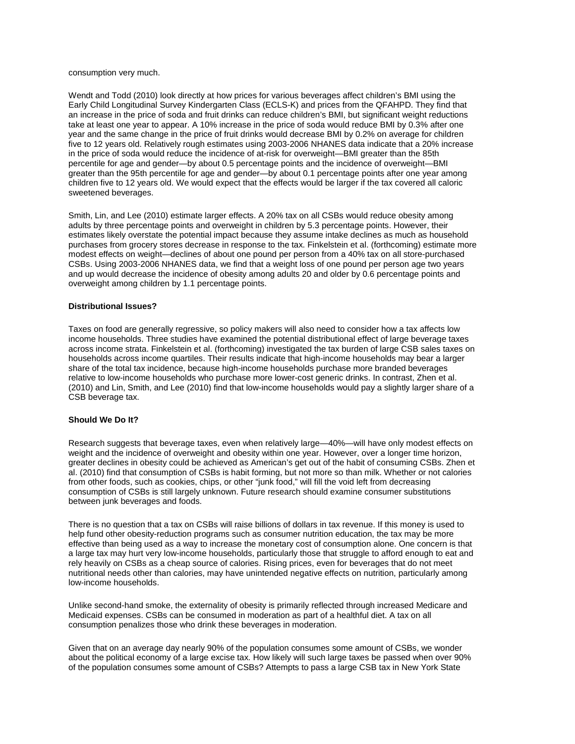#### consumption very much.

Wendt and Todd (2010) look directly at how prices for various beverages affect children's BMI using the Early Child Longitudinal Survey Kindergarten Class (ECLS-K) and prices from the QFAHPD. They find that an increase in the price of soda and fruit drinks can reduce children's BMI, but significant weight reductions take at least one year to appear. A 10% increase in the price of soda would reduce BMI by 0.3% after one year and the same change in the price of fruit drinks would decrease BMI by 0.2% on average for children five to 12 years old. Relatively rough estimates using 2003-2006 NHANES data indicate that a 20% increase in the price of soda would reduce the incidence of at-risk for overweight—BMI greater than the 85th percentile for age and gender—by about 0.5 percentage points and the incidence of overweight—BMI greater than the 95th percentile for age and gender—by about 0.1 percentage points after one year among children five to 12 years old. We would expect that the effects would be larger if the tax covered all caloric sweetened beverages.

Smith, Lin, and Lee (2010) estimate larger effects. A 20% tax on all CSBs would reduce obesity among adults by three percentage points and overweight in children by 5.3 percentage points. However, their estimates likely overstate the potential impact because they assume intake declines as much as household purchases from grocery stores decrease in response to the tax. Finkelstein et al. (forthcoming) estimate more modest effects on weight—declines of about one pound per person from a 40% tax on all store-purchased CSBs. Using 2003-2006 NHANES data, we find that a weight loss of one pound per person age two years and up would decrease the incidence of obesity among adults 20 and older by 0.6 percentage points and overweight among children by 1.1 percentage points.

## **Distributional Issues?**

Taxes on food are generally regressive, so policy makers will also need to consider how a tax affects low income households. Three studies have examined the potential distributional effect of large beverage taxes across income strata. Finkelstein et al. (forthcoming) investigated the tax burden of large CSB sales taxes on households across income quartiles. Their results indicate that high-income households may bear a larger share of the total tax incidence, because high-income households purchase more branded beverages relative to low-income households who purchase more lower-cost generic drinks. In contrast, Zhen et al. (2010) and Lin, Smith, and Lee (2010) find that low-income households would pay a slightly larger share of a CSB beverage tax.

## **Should We Do It?**

Research suggests that beverage taxes, even when relatively large—40%—will have only modest effects on weight and the incidence of overweight and obesity within one year. However, over a longer time horizon, greater declines in obesity could be achieved as American's get out of the habit of consuming CSBs. Zhen et al. (2010) find that consumption of CSBs is habit forming, but not more so than milk. Whether or not calories from other foods, such as cookies, chips, or other "junk food," will fill the void left from decreasing consumption of CSBs is still largely unknown. Future research should examine consumer substitutions between junk beverages and foods.

There is no question that a tax on CSBs will raise billions of dollars in tax revenue. If this money is used to help fund other obesity-reduction programs such as consumer nutrition education, the tax may be more effective than being used as a way to increase the monetary cost of consumption alone. One concern is that a large tax may hurt very low-income households, particularly those that struggle to afford enough to eat and rely heavily on CSBs as a cheap source of calories. Rising prices, even for beverages that do not meet nutritional needs other than calories, may have unintended negative effects on nutrition, particularly among low-income households.

Unlike second-hand smoke, the externality of obesity is primarily reflected through increased Medicare and Medicaid expenses. CSBs can be consumed in moderation as part of a healthful diet. A tax on all consumption penalizes those who drink these beverages in moderation.

Given that on an average day nearly 90% of the population consumes some amount of CSBs, we wonder about the political economy of a large excise tax. How likely will such large taxes be passed when over 90% of the population consumes some amount of CSBs? Attempts to pass a large CSB tax in New York State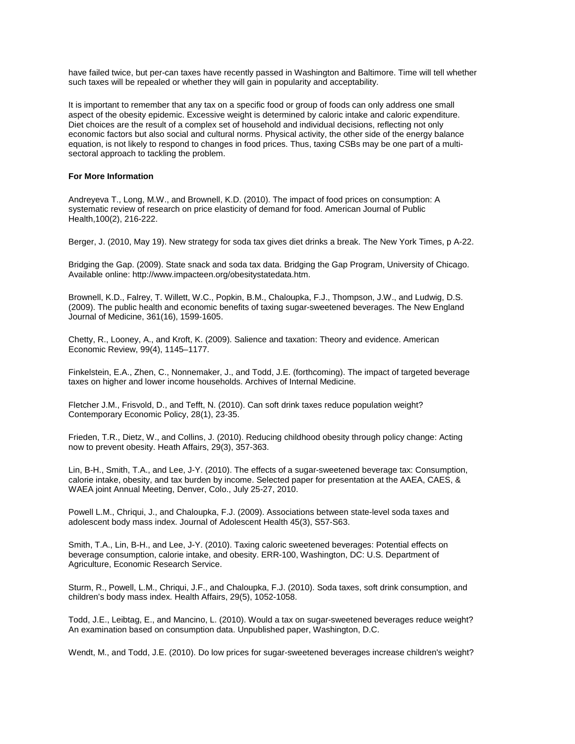have failed twice, but per-can taxes have recently passed in Washington and Baltimore. Time will tell whether such taxes will be repealed or whether they will gain in popularity and acceptability.

It is important to remember that any tax on a specific food or group of foods can only address one small aspect of the obesity epidemic. Excessive weight is determined by caloric intake and caloric expenditure. Diet choices are the result of a complex set of household and individual decisions, reflecting not only economic factors but also social and cultural norms. Physical activity, the other side of the energy balance equation, is not likely to respond to changes in food prices. Thus, taxing CSBs may be one part of a multisectoral approach to tackling the problem.

#### **For More Information**

Andreyeva T., Long, M.W., and Brownell, K.D. (2010). The impact of food prices on consumption: A systematic review of research on price elasticity of demand for food. American Journal of Public Health,100(2), 216-222.

Berger, J. (2010, May 19). New strategy for soda tax gives diet drinks a break. The New York Times, p A-22.

Bridging the Gap. (2009). State snack and soda tax data. Bridging the Gap Program, University of Chicago. Available online: http://www.impacteen.org/obesitystatedata.htm.

Brownell, K.D., Falrey, T. Willett, W.C., Popkin, B.M., Chaloupka, F.J., Thompson, J.W., and Ludwig, D.S. (2009). The public health and economic benefits of taxing sugar-sweetened beverages. The New England Journal of Medicine, 361(16), 1599-1605.

Chetty, R., Looney, A., and Kroft, K. (2009). Salience and taxation: Theory and evidence. American Economic Review, 99(4), 1145–1177.

Finkelstein, E.A., Zhen, C., Nonnemaker, J., and Todd, J.E. (forthcoming). The impact of targeted beverage taxes on higher and lower income households. Archives of Internal Medicine.

Fletcher J.M., Frisvold, D., and Tefft, N. (2010). Can soft drink taxes reduce population weight? Contemporary Economic Policy, 28(1), 23-35.

Frieden, T.R., Dietz, W., and Collins, J. (2010). Reducing childhood obesity through policy change: Acting now to prevent obesity. Heath Affairs, 29(3), 357-363.

Lin, B-H., Smith, T.A., and Lee, J-Y. (2010). The effects of a sugar-sweetened beverage tax: Consumption, calorie intake, obesity, and tax burden by income. Selected paper for presentation at the AAEA, CAES, & WAEA joint Annual Meeting, Denver, Colo., July 25-27, 2010.

Powell L.M., Chriqui, J., and Chaloupka, F.J. (2009). Associations between state-level soda taxes and adolescent body mass index. Journal of Adolescent Health 45(3), S57-S63.

Smith, T.A., Lin, B-H., and Lee, J-Y. (2010). Taxing caloric sweetened beverages: Potential effects on beverage consumption, calorie intake, and obesity. ERR-100, Washington, DC: U.S. Department of Agriculture, Economic Research Service.

Sturm, R., Powell, L.M., Chriqui, J.F., and Chaloupka, F.J. (2010). Soda taxes, soft drink consumption, and children's body mass index. Health Affairs, 29(5), 1052-1058.

Todd, J.E., Leibtag, E., and Mancino, L. (2010). Would a tax on sugar-sweetened beverages reduce weight? An examination based on consumption data. Unpublished paper, Washington, D.C.

Wendt, M., and Todd, J.E. (2010). Do low prices for sugar-sweetened beverages increase children's weight?